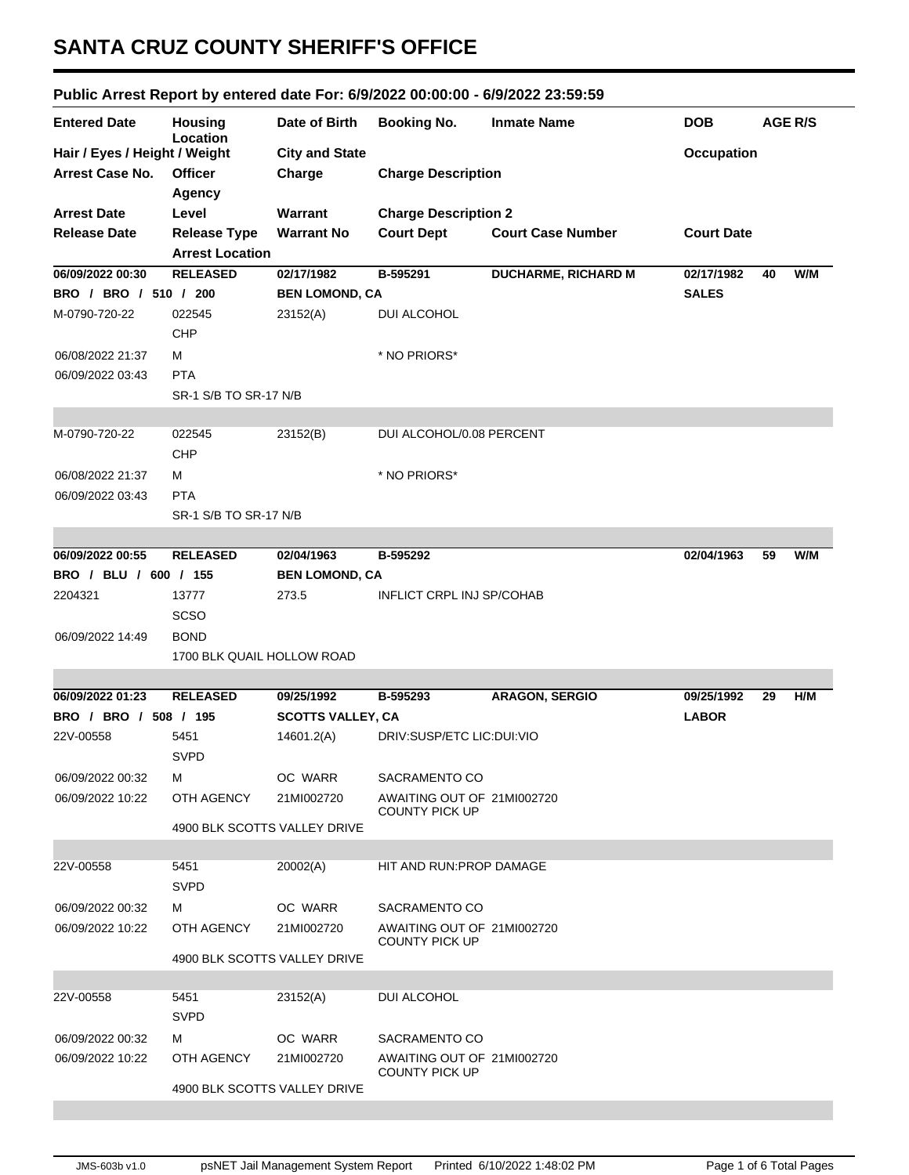## **SANTA CRUZ COUNTY SHERIFF'S OFFICE**

## **Public Arrest Report by entered date For: 6/9/2022 00:00:00 - 6/9/2022 23:59:59**

| <b>Entered Date</b>           | <b>Housing</b><br>Location   | Date of Birth            | <b>Booking No.</b>                                  | <b>Inmate Name</b>         | <b>DOB</b>        | <b>AGE R/S</b> |
|-------------------------------|------------------------------|--------------------------|-----------------------------------------------------|----------------------------|-------------------|----------------|
| Hair / Eyes / Height / Weight |                              | <b>City and State</b>    |                                                     |                            | <b>Occupation</b> |                |
| Arrest Case No.               | <b>Officer</b>               | Charge                   | <b>Charge Description</b>                           |                            |                   |                |
|                               | <b>Agency</b>                |                          |                                                     |                            |                   |                |
| <b>Arrest Date</b>            | Level                        | Warrant                  | <b>Charge Description 2</b>                         |                            |                   |                |
| <b>Release Date</b>           | <b>Release Type</b>          | <b>Warrant No</b>        | <b>Court Dept</b>                                   | <b>Court Case Number</b>   | <b>Court Date</b> |                |
|                               | <b>Arrest Location</b>       |                          |                                                     |                            |                   |                |
| 06/09/2022 00:30              | <b>RELEASED</b>              | 02/17/1982               | B-595291                                            | <b>DUCHARME, RICHARD M</b> | 02/17/1982        | W/M<br>40      |
| BRO / BRO / 510 / 200         |                              | <b>BEN LOMOND, CA</b>    |                                                     |                            | <b>SALES</b>      |                |
| M-0790-720-22                 | 022545                       | 23152(A)                 | <b>DUI ALCOHOL</b>                                  |                            |                   |                |
|                               | <b>CHP</b>                   |                          |                                                     |                            |                   |                |
| 06/08/2022 21:37              | м                            |                          | * NO PRIORS*                                        |                            |                   |                |
| 06/09/2022 03:43              | <b>PTA</b>                   |                          |                                                     |                            |                   |                |
|                               | SR-1 S/B TO SR-17 N/B        |                          |                                                     |                            |                   |                |
|                               |                              |                          |                                                     |                            |                   |                |
| M-0790-720-22                 | 022545                       | 23152(B)                 | DUI ALCOHOL/0.08 PERCENT                            |                            |                   |                |
|                               | CHP                          |                          |                                                     |                            |                   |                |
| 06/08/2022 21:37              | м                            |                          | * NO PRIORS*                                        |                            |                   |                |
| 06/09/2022 03:43              | <b>PTA</b>                   |                          |                                                     |                            |                   |                |
|                               | SR-1 S/B TO SR-17 N/B        |                          |                                                     |                            |                   |                |
|                               |                              |                          |                                                     |                            |                   |                |
| 06/09/2022 00:55              | <b>RELEASED</b>              | 02/04/1963               | B-595292                                            |                            | 02/04/1963        | 59<br>W/M      |
| BRO / BLU / 600 / 155         |                              | <b>BEN LOMOND, CA</b>    |                                                     |                            |                   |                |
| 2204321                       | 13777                        | 273.5                    | <b>INFLICT CRPL INJ SP/COHAB</b>                    |                            |                   |                |
|                               | <b>SCSO</b>                  |                          |                                                     |                            |                   |                |
| 06/09/2022 14:49              | <b>BOND</b>                  |                          |                                                     |                            |                   |                |
|                               | 1700 BLK QUAIL HOLLOW ROAD   |                          |                                                     |                            |                   |                |
| 06/09/2022 01:23              | <b>RELEASED</b>              | 09/25/1992               | B-595293                                            | <b>ARAGON, SERGIO</b>      | 09/25/1992        | H/M<br>29      |
| BRO / BRO / 508 / 195         |                              | <b>SCOTTS VALLEY, CA</b> |                                                     |                            | <b>LABOR</b>      |                |
| 22V-00558                     | 5451                         | 14601.2(A)               | DRIV:SUSP/ETC LIC:DUI:VIO                           |                            |                   |                |
|                               | <b>SVPD</b>                  |                          |                                                     |                            |                   |                |
| 06/09/2022 00:32              | м                            | OC WARR                  | SACRAMENTO CO                                       |                            |                   |                |
| 06/09/2022 10:22              | OTH AGENCY                   | 21MI002720               | AWAITING OUT OF 21MI002720                          |                            |                   |                |
|                               |                              |                          | <b>COUNTY PICK UP</b>                               |                            |                   |                |
|                               | 4900 BLK SCOTTS VALLEY DRIVE |                          |                                                     |                            |                   |                |
|                               |                              |                          |                                                     |                            |                   |                |
| 22V-00558                     | 5451                         | 20002(A)                 | HIT AND RUN: PROP DAMAGE                            |                            |                   |                |
|                               | <b>SVPD</b>                  |                          |                                                     |                            |                   |                |
| 06/09/2022 00:32              | м                            | OC WARR                  | SACRAMENTO CO                                       |                            |                   |                |
| 06/09/2022 10:22              | OTH AGENCY                   | 21MI002720               | AWAITING OUT OF 21MI002720<br><b>COUNTY PICK UP</b> |                            |                   |                |
|                               | 4900 BLK SCOTTS VALLEY DRIVE |                          |                                                     |                            |                   |                |
|                               |                              |                          |                                                     |                            |                   |                |
| 22V-00558                     | 5451                         | 23152(A)                 | DUI ALCOHOL                                         |                            |                   |                |
|                               | <b>SVPD</b>                  |                          |                                                     |                            |                   |                |
| 06/09/2022 00:32              | м                            | OC WARR                  | SACRAMENTO CO                                       |                            |                   |                |
| 06/09/2022 10:22              | OTH AGENCY                   | 21MI002720               | AWAITING OUT OF 21MI002720<br><b>COUNTY PICK UP</b> |                            |                   |                |
|                               | 4900 BLK SCOTTS VALLEY DRIVE |                          |                                                     |                            |                   |                |
|                               |                              |                          |                                                     |                            |                   |                |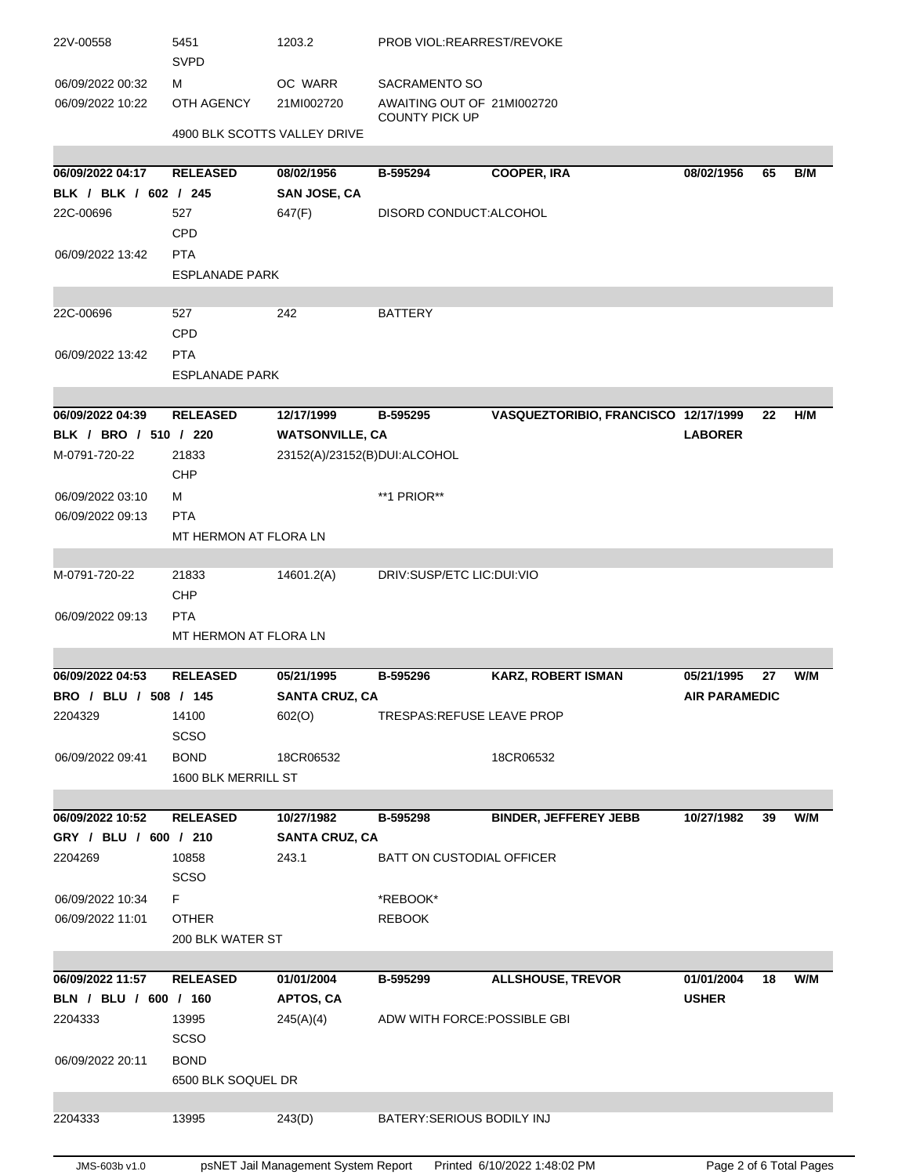| 2204269<br>06/09/2022 10:34<br>06/09/2022 11:01<br>06/09/2022 11:57<br>BLN / BLU / 600 / 160<br>2204333<br>06/09/2022 20:11<br>2204333 | <b>SCSO</b><br>F.<br><b>OTHER</b><br>200 BLK WATER ST<br><b>RELEASED</b><br>13995<br><b>SCSO</b><br><b>BOND</b><br>6500 BLK SOQUEL DR<br>13995 | 01/01/2004<br>APTOS, CA<br>245(A)(4)<br>243(D) | *REBOOK*<br><b>REBOOK</b><br>B-595299<br>ADW WITH FORCE: POSSIBLE GBI<br>BATERY: SERIOUS BODILY INJ | <b>ALLSHOUSE, TREVOR</b>             | 01/01/2004<br><b>USHER</b> | 18 | W/M |
|----------------------------------------------------------------------------------------------------------------------------------------|------------------------------------------------------------------------------------------------------------------------------------------------|------------------------------------------------|-----------------------------------------------------------------------------------------------------|--------------------------------------|----------------------------|----|-----|
|                                                                                                                                        |                                                                                                                                                |                                                |                                                                                                     |                                      |                            |    |     |
|                                                                                                                                        |                                                                                                                                                |                                                |                                                                                                     |                                      |                            |    |     |
|                                                                                                                                        |                                                                                                                                                |                                                |                                                                                                     |                                      |                            |    |     |
|                                                                                                                                        |                                                                                                                                                |                                                |                                                                                                     |                                      |                            |    |     |
|                                                                                                                                        |                                                                                                                                                |                                                |                                                                                                     |                                      |                            |    |     |
|                                                                                                                                        |                                                                                                                                                |                                                |                                                                                                     |                                      |                            |    |     |
|                                                                                                                                        |                                                                                                                                                |                                                |                                                                                                     |                                      |                            |    |     |
|                                                                                                                                        |                                                                                                                                                |                                                |                                                                                                     |                                      |                            |    |     |
|                                                                                                                                        |                                                                                                                                                |                                                |                                                                                                     |                                      |                            |    |     |
|                                                                                                                                        |                                                                                                                                                |                                                |                                                                                                     |                                      |                            |    |     |
|                                                                                                                                        |                                                                                                                                                |                                                |                                                                                                     |                                      |                            |    |     |
|                                                                                                                                        | 10858                                                                                                                                          | 243.1                                          | BATT ON CUSTODIAL OFFICER                                                                           |                                      |                            |    |     |
| GRY / BLU / 600 / 210                                                                                                                  |                                                                                                                                                | <b>SANTA CRUZ, CA</b>                          |                                                                                                     |                                      |                            |    |     |
| 06/09/2022 10:52                                                                                                                       | <b>RELEASED</b>                                                                                                                                | 10/27/1982                                     | B-595298                                                                                            | <b>BINDER, JEFFEREY JEBB</b>         | 10/27/1982                 | 39 | W/M |
|                                                                                                                                        |                                                                                                                                                |                                                |                                                                                                     |                                      |                            |    |     |
|                                                                                                                                        | 1600 BLK MERRILL ST                                                                                                                            |                                                |                                                                                                     |                                      |                            |    |     |
| 06/09/2022 09:41                                                                                                                       | <b>BOND</b>                                                                                                                                    | 18CR06532                                      |                                                                                                     | 18CR06532                            |                            |    |     |
|                                                                                                                                        | <b>SCSO</b>                                                                                                                                    |                                                |                                                                                                     |                                      |                            |    |     |
| 2204329                                                                                                                                | 14100                                                                                                                                          | 602(O)                                         | TRESPAS: REFUSE LEAVE PROP                                                                          |                                      |                            |    |     |
| BRO / BLU / 508 / 145                                                                                                                  |                                                                                                                                                | <b>SANTA CRUZ, CA</b>                          |                                                                                                     |                                      | <b>AIR PARAMEDIC</b>       |    |     |
| 06/09/2022 04:53                                                                                                                       | <b>RELEASED</b>                                                                                                                                | 05/21/1995                                     | B-595296                                                                                            | <b>KARZ, ROBERT ISMAN</b>            | 05/21/1995                 | 27 | W/M |
|                                                                                                                                        |                                                                                                                                                |                                                |                                                                                                     |                                      |                            |    |     |
|                                                                                                                                        | MT HERMON AT FLORA LN                                                                                                                          |                                                |                                                                                                     |                                      |                            |    |     |
| 06/09/2022 09:13                                                                                                                       | <b>PTA</b>                                                                                                                                     |                                                |                                                                                                     |                                      |                            |    |     |
|                                                                                                                                        | CHP                                                                                                                                            |                                                |                                                                                                     |                                      |                            |    |     |
| M-0791-720-22                                                                                                                          | 21833                                                                                                                                          | 14601.2(A)                                     | DRIV:SUSP/ETC LIC:DUI:VIO                                                                           |                                      |                            |    |     |
|                                                                                                                                        |                                                                                                                                                |                                                |                                                                                                     |                                      |                            |    |     |
|                                                                                                                                        | MT HERMON AT FLORA LN                                                                                                                          |                                                |                                                                                                     |                                      |                            |    |     |
| 06/09/2022 09:13                                                                                                                       | <b>PTA</b>                                                                                                                                     |                                                |                                                                                                     |                                      |                            |    |     |
| 06/09/2022 03:10                                                                                                                       | м                                                                                                                                              |                                                | **1 PRIOR**                                                                                         |                                      |                            |    |     |
|                                                                                                                                        | <b>CHP</b>                                                                                                                                     |                                                |                                                                                                     |                                      |                            |    |     |
| M-0791-720-22                                                                                                                          | 21833                                                                                                                                          | 23152(A)/23152(B)DUI:ALCOHOL                   |                                                                                                     |                                      |                            |    |     |
| BLK / BRO / 510 / 220                                                                                                                  |                                                                                                                                                | <b>WATSONVILLE, CA</b>                         |                                                                                                     |                                      | <b>LABORER</b>             |    |     |
| 06/09/2022 04:39                                                                                                                       | <b>RELEASED</b>                                                                                                                                | 12/17/1999                                     | B-595295                                                                                            | VASQUEZTORIBIO, FRANCISCO 12/17/1999 |                            | 22 | H/M |
|                                                                                                                                        |                                                                                                                                                |                                                |                                                                                                     |                                      |                            |    |     |
|                                                                                                                                        | <b>ESPLANADE PARK</b>                                                                                                                          |                                                |                                                                                                     |                                      |                            |    |     |
| 06/09/2022 13:42                                                                                                                       | <b>PTA</b>                                                                                                                                     |                                                |                                                                                                     |                                      |                            |    |     |
|                                                                                                                                        | CPD                                                                                                                                            |                                                |                                                                                                     |                                      |                            |    |     |
| 22C-00696                                                                                                                              | 527                                                                                                                                            | 242                                            | <b>BATTERY</b>                                                                                      |                                      |                            |    |     |
|                                                                                                                                        |                                                                                                                                                |                                                |                                                                                                     |                                      |                            |    |     |
|                                                                                                                                        | <b>ESPLANADE PARK</b>                                                                                                                          |                                                |                                                                                                     |                                      |                            |    |     |
| 06/09/2022 13:42                                                                                                                       | <b>PTA</b>                                                                                                                                     |                                                |                                                                                                     |                                      |                            |    |     |
|                                                                                                                                        | <b>CPD</b>                                                                                                                                     |                                                |                                                                                                     |                                      |                            |    |     |
| 22C-00696                                                                                                                              | 527                                                                                                                                            | 647(F)                                         | DISORD CONDUCT: ALCOHOL                                                                             |                                      |                            |    |     |
| BLK / BLK / 602 / 245                                                                                                                  |                                                                                                                                                | <b>SAN JOSE, CA</b>                            |                                                                                                     |                                      |                            |    |     |
| 06/09/2022 04:17                                                                                                                       | <b>RELEASED</b>                                                                                                                                | 08/02/1956                                     | B-595294                                                                                            | <b>COOPER, IRA</b>                   | 08/02/1956                 | 65 | B/M |
|                                                                                                                                        |                                                                                                                                                |                                                |                                                                                                     |                                      |                            |    |     |
|                                                                                                                                        | 4900 BLK SCOTTS VALLEY DRIVE                                                                                                                   |                                                |                                                                                                     |                                      |                            |    |     |
| 06/09/2022 10:22                                                                                                                       | OTH AGENCY                                                                                                                                     | 21MI002720                                     | AWAITING OUT OF 21MI002720<br><b>COUNTY PICK UP</b>                                                 |                                      |                            |    |     |
| 06/09/2022 00:32                                                                                                                       | М                                                                                                                                              | OC WARR                                        | <b>SACRAMENTO SO</b>                                                                                |                                      |                            |    |     |
|                                                                                                                                        |                                                                                                                                                |                                                |                                                                                                     |                                      |                            |    |     |
|                                                                                                                                        | <b>SVPD</b>                                                                                                                                    |                                                |                                                                                                     |                                      |                            |    |     |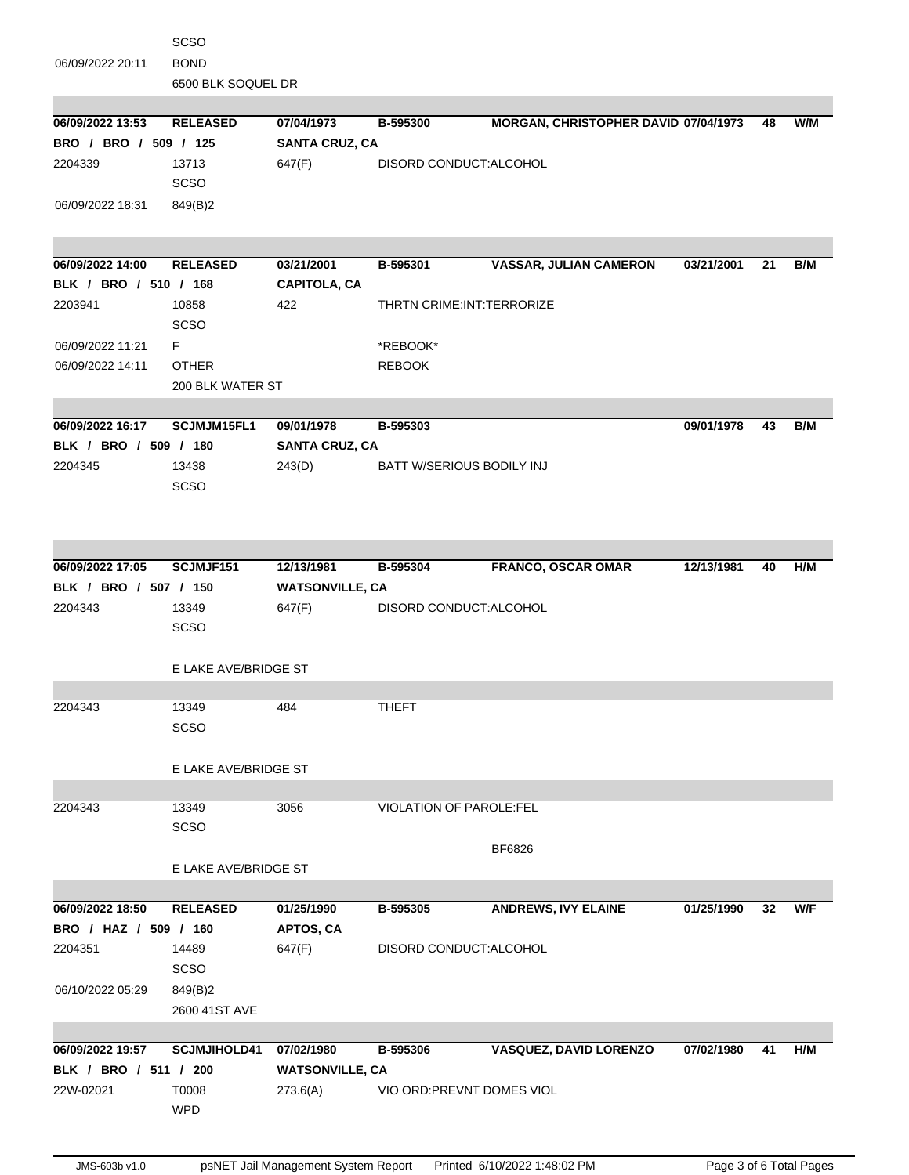| E LAKE AVE/BRIDGE ST<br>13349<br>SCSO<br>E LAKE AVE/BRIDGE ST<br><b>RELEASED</b><br>BRO / HAZ / 509 / 160<br>14489<br>SCSO<br>849(B)2<br>2600 41ST AVE<br><b>SCJMJIHOLD41</b><br>BLK / BRO / 511 / 200<br>T0008<br><b>WPD</b> | 3056<br>01/25/1990<br>APTOS, CA<br>647(F)<br>07/02/1980<br><b>WATSONVILLE, CA</b><br>273.6(A)                                                                           | <b>VIOLATION OF PAROLE:FEL</b><br>B-595305<br>DISORD CONDUCT: ALCOHOL<br>B-595306<br>VIO ORD: PREVNT DOMES VIOL | BF6826<br><b>ANDREWS, IVY ELAINE</b><br><b>VASQUEZ, DAVID LORENZO</b>                                        | 01/25/1990<br>07/02/1980                                                                                                             | 32<br>41                                                         | W/F<br>H/M     |
|-------------------------------------------------------------------------------------------------------------------------------------------------------------------------------------------------------------------------------|-------------------------------------------------------------------------------------------------------------------------------------------------------------------------|-----------------------------------------------------------------------------------------------------------------|--------------------------------------------------------------------------------------------------------------|--------------------------------------------------------------------------------------------------------------------------------------|------------------------------------------------------------------|----------------|
|                                                                                                                                                                                                                               |                                                                                                                                                                         |                                                                                                                 |                                                                                                              |                                                                                                                                      |                                                                  |                |
|                                                                                                                                                                                                                               |                                                                                                                                                                         |                                                                                                                 |                                                                                                              |                                                                                                                                      |                                                                  |                |
|                                                                                                                                                                                                                               |                                                                                                                                                                         |                                                                                                                 |                                                                                                              |                                                                                                                                      |                                                                  |                |
|                                                                                                                                                                                                                               |                                                                                                                                                                         |                                                                                                                 |                                                                                                              |                                                                                                                                      |                                                                  |                |
|                                                                                                                                                                                                                               |                                                                                                                                                                         |                                                                                                                 |                                                                                                              |                                                                                                                                      |                                                                  |                |
|                                                                                                                                                                                                                               |                                                                                                                                                                         |                                                                                                                 |                                                                                                              |                                                                                                                                      |                                                                  |                |
|                                                                                                                                                                                                                               |                                                                                                                                                                         |                                                                                                                 |                                                                                                              |                                                                                                                                      |                                                                  |                |
|                                                                                                                                                                                                                               |                                                                                                                                                                         |                                                                                                                 |                                                                                                              |                                                                                                                                      |                                                                  |                |
|                                                                                                                                                                                                                               |                                                                                                                                                                         |                                                                                                                 |                                                                                                              |                                                                                                                                      |                                                                  |                |
|                                                                                                                                                                                                                               |                                                                                                                                                                         |                                                                                                                 |                                                                                                              |                                                                                                                                      |                                                                  |                |
|                                                                                                                                                                                                                               |                                                                                                                                                                         |                                                                                                                 |                                                                                                              |                                                                                                                                      |                                                                  |                |
|                                                                                                                                                                                                                               |                                                                                                                                                                         |                                                                                                                 |                                                                                                              |                                                                                                                                      |                                                                  |                |
|                                                                                                                                                                                                                               |                                                                                                                                                                         |                                                                                                                 |                                                                                                              |                                                                                                                                      |                                                                  |                |
|                                                                                                                                                                                                                               |                                                                                                                                                                         |                                                                                                                 |                                                                                                              |                                                                                                                                      |                                                                  |                |
|                                                                                                                                                                                                                               |                                                                                                                                                                         |                                                                                                                 |                                                                                                              |                                                                                                                                      |                                                                  |                |
|                                                                                                                                                                                                                               |                                                                                                                                                                         |                                                                                                                 |                                                                                                              |                                                                                                                                      |                                                                  |                |
|                                                                                                                                                                                                                               |                                                                                                                                                                         |                                                                                                                 |                                                                                                              |                                                                                                                                      |                                                                  |                |
|                                                                                                                                                                                                                               |                                                                                                                                                                         |                                                                                                                 |                                                                                                              |                                                                                                                                      |                                                                  |                |
|                                                                                                                                                                                                                               |                                                                                                                                                                         |                                                                                                                 |                                                                                                              |                                                                                                                                      |                                                                  |                |
| SCSO                                                                                                                                                                                                                          |                                                                                                                                                                         |                                                                                                                 |                                                                                                              |                                                                                                                                      |                                                                  |                |
| 13349                                                                                                                                                                                                                         | 484                                                                                                                                                                     | <b>THEFT</b>                                                                                                    |                                                                                                              |                                                                                                                                      |                                                                  |                |
|                                                                                                                                                                                                                               |                                                                                                                                                                         |                                                                                                                 |                                                                                                              |                                                                                                                                      |                                                                  |                |
|                                                                                                                                                                                                                               |                                                                                                                                                                         |                                                                                                                 |                                                                                                              |                                                                                                                                      |                                                                  |                |
|                                                                                                                                                                                                                               |                                                                                                                                                                         |                                                                                                                 |                                                                                                              |                                                                                                                                      |                                                                  |                |
| <b>SCSO</b>                                                                                                                                                                                                                   |                                                                                                                                                                         |                                                                                                                 |                                                                                                              |                                                                                                                                      |                                                                  |                |
| 13349                                                                                                                                                                                                                         |                                                                                                                                                                         |                                                                                                                 |                                                                                                              |                                                                                                                                      |                                                                  |                |
|                                                                                                                                                                                                                               |                                                                                                                                                                         |                                                                                                                 |                                                                                                              |                                                                                                                                      |                                                                  |                |
|                                                                                                                                                                                                                               |                                                                                                                                                                         |                                                                                                                 |                                                                                                              |                                                                                                                                      |                                                                  | H/M            |
|                                                                                                                                                                                                                               |                                                                                                                                                                         |                                                                                                                 |                                                                                                              |                                                                                                                                      |                                                                  |                |
|                                                                                                                                                                                                                               |                                                                                                                                                                         |                                                                                                                 |                                                                                                              |                                                                                                                                      |                                                                  |                |
|                                                                                                                                                                                                                               |                                                                                                                                                                         |                                                                                                                 |                                                                                                              |                                                                                                                                      |                                                                  |                |
|                                                                                                                                                                                                                               |                                                                                                                                                                         |                                                                                                                 |                                                                                                              |                                                                                                                                      |                                                                  |                |
|                                                                                                                                                                                                                               |                                                                                                                                                                         |                                                                                                                 |                                                                                                              |                                                                                                                                      |                                                                  |                |
|                                                                                                                                                                                                                               |                                                                                                                                                                         |                                                                                                                 |                                                                                                              |                                                                                                                                      |                                                                  | B/M            |
|                                                                                                                                                                                                                               |                                                                                                                                                                         |                                                                                                                 |                                                                                                              |                                                                                                                                      |                                                                  |                |
|                                                                                                                                                                                                                               |                                                                                                                                                                         |                                                                                                                 |                                                                                                              |                                                                                                                                      |                                                                  |                |
| <b>OTHER</b>                                                                                                                                                                                                                  |                                                                                                                                                                         | <b>REBOOK</b>                                                                                                   |                                                                                                              |                                                                                                                                      |                                                                  |                |
| F.                                                                                                                                                                                                                            |                                                                                                                                                                         | *REBOOK*                                                                                                        |                                                                                                              |                                                                                                                                      |                                                                  |                |
| <b>SCSO</b>                                                                                                                                                                                                                   |                                                                                                                                                                         |                                                                                                                 |                                                                                                              |                                                                                                                                      |                                                                  |                |
| 10858                                                                                                                                                                                                                         | 422                                                                                                                                                                     |                                                                                                                 |                                                                                                              |                                                                                                                                      |                                                                  |                |
|                                                                                                                                                                                                                               | <b>CAPITOLA, CA</b>                                                                                                                                                     |                                                                                                                 |                                                                                                              |                                                                                                                                      |                                                                  |                |
| <b>RELEASED</b>                                                                                                                                                                                                               | 03/21/2001                                                                                                                                                              | B-595301                                                                                                        | <b>VASSAR, JULIAN CAMERON</b>                                                                                | 03/21/2001                                                                                                                           | 21                                                               | B/M            |
|                                                                                                                                                                                                                               |                                                                                                                                                                         |                                                                                                                 |                                                                                                              |                                                                                                                                      |                                                                  |                |
|                                                                                                                                                                                                                               |                                                                                                                                                                         |                                                                                                                 |                                                                                                              |                                                                                                                                      |                                                                  |                |
| 849(B)2                                                                                                                                                                                                                       |                                                                                                                                                                         |                                                                                                                 |                                                                                                              |                                                                                                                                      |                                                                  |                |
| SCSO                                                                                                                                                                                                                          |                                                                                                                                                                         |                                                                                                                 |                                                                                                              |                                                                                                                                      |                                                                  |                |
| 13713                                                                                                                                                                                                                         | 647(F)                                                                                                                                                                  |                                                                                                                 |                                                                                                              |                                                                                                                                      |                                                                  |                |
|                                                                                                                                                                                                                               |                                                                                                                                                                         |                                                                                                                 |                                                                                                              |                                                                                                                                      |                                                                  |                |
|                                                                                                                                                                                                                               |                                                                                                                                                                         |                                                                                                                 |                                                                                                              |                                                                                                                                      |                                                                  | W/M            |
|                                                                                                                                                                                                                               |                                                                                                                                                                         |                                                                                                                 |                                                                                                              |                                                                                                                                      |                                                                  |                |
|                                                                                                                                                                                                                               |                                                                                                                                                                         |                                                                                                                 |                                                                                                              |                                                                                                                                      |                                                                  |                |
| <b>BOND</b><br>6500 BLK SOQUEL DR                                                                                                                                                                                             |                                                                                                                                                                         |                                                                                                                 |                                                                                                              |                                                                                                                                      |                                                                  |                |
|                                                                                                                                                                                                                               | <b>RELEASED</b><br>BRO / BRO / 509 / 125<br>BLK / BRO / 510 / 168<br>SCJMJM15FL1<br>BLK / BRO / 509 / 180<br>13438<br><b>SCSO</b><br>SCJMJF151<br>BLK / BRO / 507 / 150 | 07/04/1973<br>200 BLK WATER ST<br>09/01/1978<br>243(D)<br>12/13/1981<br>647(F)<br>E LAKE AVE/BRIDGE ST          | B-595300<br><b>SANTA CRUZ, CA</b><br>B-595303<br><b>SANTA CRUZ, CA</b><br>B-595304<br><b>WATSONVILLE, CA</b> | DISORD CONDUCT: ALCOHOL<br>THRTN CRIME: INT: TERRORIZE<br>BATT W/SERIOUS BODILY INJ<br>FRANCO, OSCAR OMAR<br>DISORD CONDUCT: ALCOHOL | MORGAN, CHRISTOPHER DAVID 07/04/1973<br>09/01/1978<br>12/13/1981 | 48<br>43<br>40 |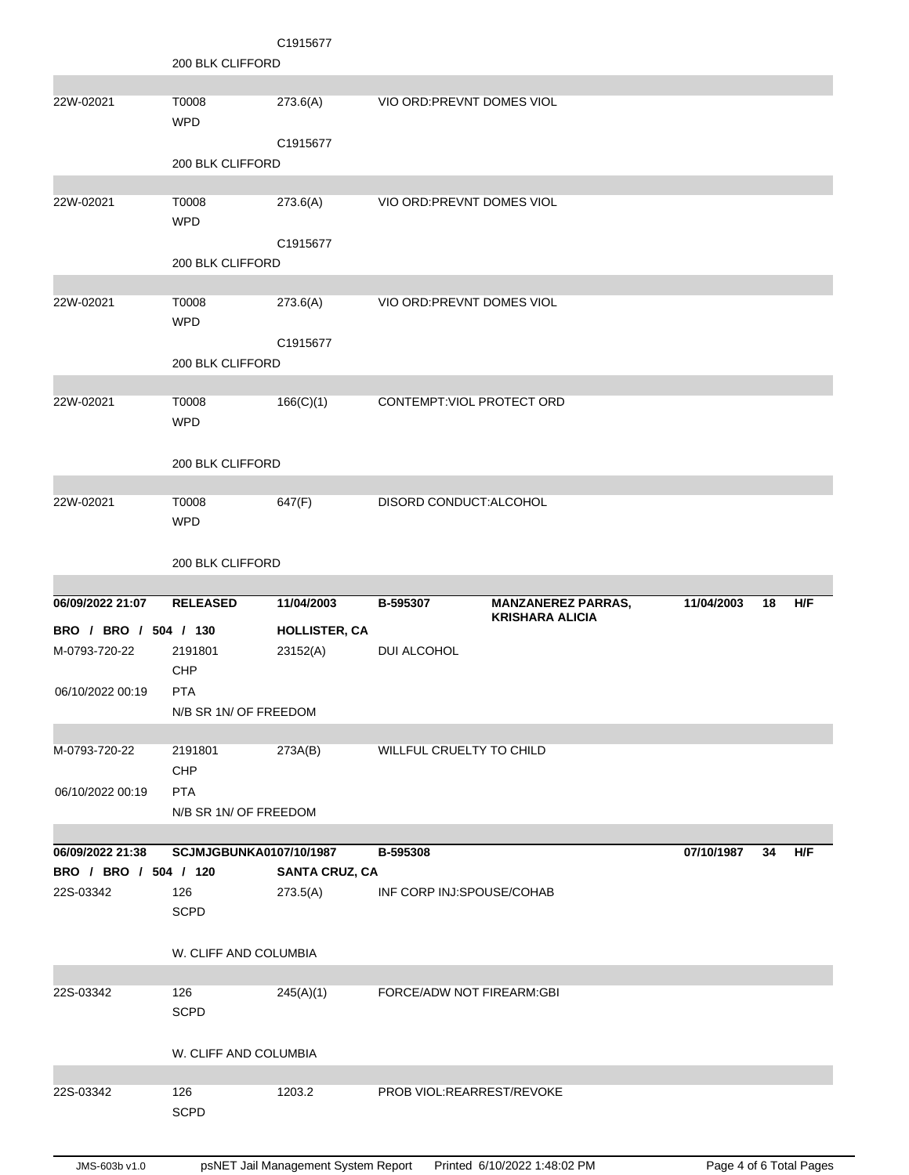|                       |                                | C1915677              |                            |                           |            |    |            |
|-----------------------|--------------------------------|-----------------------|----------------------------|---------------------------|------------|----|------------|
|                       | 200 BLK CLIFFORD               |                       |                            |                           |            |    |            |
|                       |                                |                       |                            |                           |            |    |            |
| 22W-02021             | T0008<br><b>WPD</b>            | 273.6(A)              | VIO ORD: PREVNT DOMES VIOL |                           |            |    |            |
|                       |                                | C1915677              |                            |                           |            |    |            |
|                       | 200 BLK CLIFFORD               |                       |                            |                           |            |    |            |
|                       |                                |                       |                            |                           |            |    |            |
| 22W-02021             | T0008                          | 273.6(A)              | VIO ORD: PREVNT DOMES VIOL |                           |            |    |            |
|                       | <b>WPD</b>                     |                       |                            |                           |            |    |            |
|                       |                                | C1915677              |                            |                           |            |    |            |
|                       | 200 BLK CLIFFORD               |                       |                            |                           |            |    |            |
|                       |                                |                       |                            |                           |            |    |            |
| 22W-02021             | T0008                          | 273.6(A)              | VIO ORD: PREVNT DOMES VIOL |                           |            |    |            |
|                       | <b>WPD</b>                     |                       |                            |                           |            |    |            |
|                       |                                | C1915677              |                            |                           |            |    |            |
|                       | 200 BLK CLIFFORD               |                       |                            |                           |            |    |            |
|                       |                                |                       |                            |                           |            |    |            |
| 22W-02021             | T0008                          | 166(C)(1)             | CONTEMPT: VIOL PROTECT ORD |                           |            |    |            |
|                       | <b>WPD</b>                     |                       |                            |                           |            |    |            |
|                       |                                |                       |                            |                           |            |    |            |
|                       | 200 BLK CLIFFORD               |                       |                            |                           |            |    |            |
| 22W-02021             | T0008                          | 647(F)                | DISORD CONDUCT: ALCOHOL    |                           |            |    |            |
|                       | <b>WPD</b>                     |                       |                            |                           |            |    |            |
|                       |                                |                       |                            |                           |            |    |            |
|                       | 200 BLK CLIFFORD               |                       |                            |                           |            |    |            |
|                       |                                |                       |                            |                           |            |    |            |
|                       |                                |                       |                            |                           |            |    |            |
| 06/09/2022 21:07      | <b>RELEASED</b>                | 11/04/2003            | B-595307                   | <b>MANZANEREZ PARRAS,</b> | 11/04/2003 | 18 | H/F        |
|                       |                                |                       |                            | <b>KRISHARA ALICIA</b>    |            |    |            |
| BRO / BRO / 504 / 130 |                                | <b>HOLLISTER, CA</b>  |                            |                           |            |    |            |
| M-0793-720-22         | 2191801<br><b>CHP</b>          | 23152(A)              | DUI ALCOHOL                |                           |            |    |            |
| 06/10/2022 00:19      | <b>PTA</b>                     |                       |                            |                           |            |    |            |
|                       | N/B SR 1N/ OF FREEDOM          |                       |                            |                           |            |    |            |
|                       |                                |                       |                            |                           |            |    |            |
| M-0793-720-22         | 2191801                        | 273A(B)               | WILLFUL CRUELTY TO CHILD   |                           |            |    |            |
|                       | CHP                            |                       |                            |                           |            |    |            |
| 06/10/2022 00:19      | <b>PTA</b>                     |                       |                            |                           |            |    |            |
|                       | N/B SR 1N/ OF FREEDOM          |                       |                            |                           |            |    |            |
|                       |                                |                       |                            |                           |            |    |            |
| 06/09/2022 21:38      | <b>SCJMJGBUNKA0107/10/1987</b> |                       | B-595308                   |                           | 07/10/1987 | 34 | <b>H/F</b> |
| BRO / BRO / 504 / 120 |                                | <b>SANTA CRUZ, CA</b> |                            |                           |            |    |            |
| 22S-03342             | 126                            | 273.5(A)              | INF CORP INJ:SPOUSE/COHAB  |                           |            |    |            |
|                       | <b>SCPD</b>                    |                       |                            |                           |            |    |            |
|                       |                                |                       |                            |                           |            |    |            |
|                       | W. CLIFF AND COLUMBIA          |                       |                            |                           |            |    |            |
|                       |                                |                       |                            |                           |            |    |            |
| 22S-03342             | 126<br><b>SCPD</b>             | 245(A)(1)             | FORCE/ADW NOT FIREARM:GBI  |                           |            |    |            |
|                       |                                |                       |                            |                           |            |    |            |
|                       | W. CLIFF AND COLUMBIA          |                       |                            |                           |            |    |            |
|                       |                                |                       |                            |                           |            |    |            |
| 22S-03342             | 126                            | 1203.2                | PROB VIOL:REARREST/REVOKE  |                           |            |    |            |
|                       | <b>SCPD</b>                    |                       |                            |                           |            |    |            |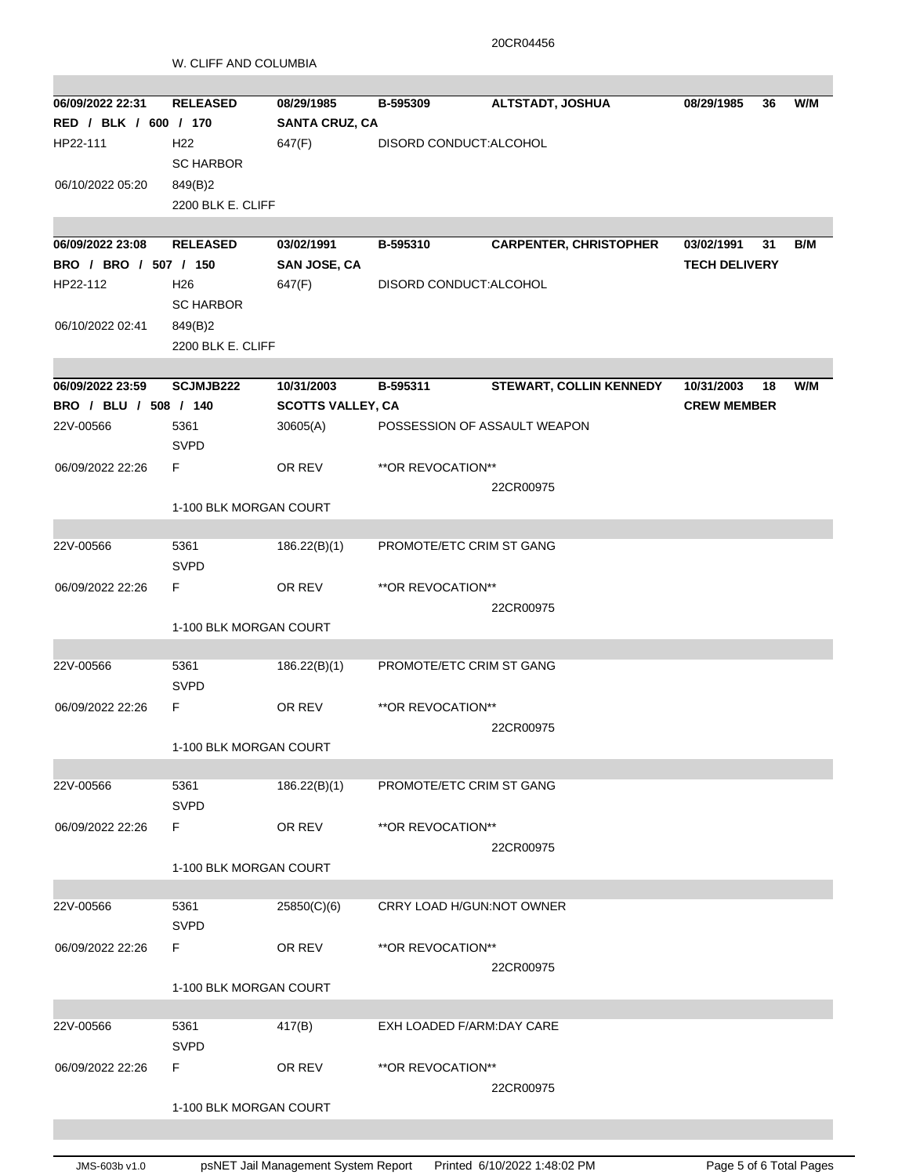20CR04456

|                                           | W. CLIFF AND COLUMBIA  |                          |                              |                                |                                  |    |     |
|-------------------------------------------|------------------------|--------------------------|------------------------------|--------------------------------|----------------------------------|----|-----|
|                                           |                        |                          |                              |                                |                                  |    |     |
| 06/09/2022 22:31                          | <b>RELEASED</b>        | 08/29/1985               | B-595309                     | <b>ALTSTADT, JOSHUA</b>        | 08/29/1985                       | 36 | W/M |
| RED / BLK / 600 / 170                     |                        | <b>SANTA CRUZ, CA</b>    |                              |                                |                                  |    |     |
| HP22-111                                  | H <sub>22</sub>        | 647(F)                   | DISORD CONDUCT:ALCOHOL       |                                |                                  |    |     |
|                                           | <b>SC HARBOR</b>       |                          |                              |                                |                                  |    |     |
| 06/10/2022 05:20                          | 849(B)2                |                          |                              |                                |                                  |    |     |
|                                           | 2200 BLK E. CLIFF      |                          |                              |                                |                                  |    |     |
|                                           |                        |                          |                              |                                |                                  |    |     |
| 06/09/2022 23:08                          | <b>RELEASED</b>        | 03/02/1991               | B-595310                     | <b>CARPENTER, CHRISTOPHER</b>  | 03/02/1991                       | 31 | B/M |
| BRO / BRO / 507 / 150                     |                        | SAN JOSE, CA             |                              |                                | <b>TECH DELIVERY</b>             |    |     |
| HP22-112                                  | H <sub>26</sub>        | 647(F)                   | DISORD CONDUCT: ALCOHOL      |                                |                                  |    |     |
|                                           | <b>SC HARBOR</b>       |                          |                              |                                |                                  |    |     |
| 06/10/2022 02:41                          | 849(B)2                |                          |                              |                                |                                  |    |     |
|                                           | 2200 BLK E. CLIFF      |                          |                              |                                |                                  |    |     |
|                                           |                        | 10/31/2003               |                              |                                |                                  |    |     |
| 06/09/2022 23:59<br>BRO / BLU / 508 / 140 | <b>SCJMJB222</b>       | <b>SCOTTS VALLEY, CA</b> | B-595311                     | <b>STEWART, COLLIN KENNEDY</b> | 10/31/2003<br><b>CREW MEMBER</b> | 18 | W/M |
| 22V-00566                                 | 5361                   |                          | POSSESSION OF ASSAULT WEAPON |                                |                                  |    |     |
|                                           | <b>SVPD</b>            | 30605(A)                 |                              |                                |                                  |    |     |
| 06/09/2022 22:26                          | F.                     | OR REV                   | **OR REVOCATION**            |                                |                                  |    |     |
|                                           |                        |                          |                              | 22CR00975                      |                                  |    |     |
|                                           | 1-100 BLK MORGAN COURT |                          |                              |                                |                                  |    |     |
|                                           |                        |                          |                              |                                |                                  |    |     |
| 22V-00566                                 | 5361                   | 186.22(B)(1)             | PROMOTE/ETC CRIM ST GANG     |                                |                                  |    |     |
|                                           | <b>SVPD</b>            |                          |                              |                                |                                  |    |     |
| 06/09/2022 22:26                          | F                      | OR REV                   | **OR REVOCATION**            |                                |                                  |    |     |
|                                           |                        |                          |                              | 22CR00975                      |                                  |    |     |
|                                           | 1-100 BLK MORGAN COURT |                          |                              |                                |                                  |    |     |
|                                           |                        |                          |                              |                                |                                  |    |     |
| 22V-00566                                 | 5361                   | 186.22(B)(1)             | PROMOTE/ETC CRIM ST GANG     |                                |                                  |    |     |
|                                           | <b>SVPD</b>            |                          |                              |                                |                                  |    |     |
| 06/09/2022 22:26                          | F                      | OR REV                   | **OR REVOCATION**            |                                |                                  |    |     |
|                                           |                        |                          |                              | 22CR00975                      |                                  |    |     |
|                                           | 1-100 BLK MORGAN COURT |                          |                              |                                |                                  |    |     |
|                                           |                        |                          |                              |                                |                                  |    |     |
| 22V-00566                                 | 5361                   | 186.22(B)(1)             | PROMOTE/ETC CRIM ST GANG     |                                |                                  |    |     |
|                                           | <b>SVPD</b>            |                          |                              |                                |                                  |    |     |
| 06/09/2022 22:26                          | F.                     | OR REV                   | **OR REVOCATION**            |                                |                                  |    |     |
|                                           |                        |                          |                              | 22CR00975                      |                                  |    |     |
|                                           | 1-100 BLK MORGAN COURT |                          |                              |                                |                                  |    |     |
|                                           |                        |                          |                              |                                |                                  |    |     |
| 22V-00566                                 | 5361                   | 25850(C)(6)              | CRRY LOAD H/GUN:NOT OWNER    |                                |                                  |    |     |
|                                           | <b>SVPD</b>            |                          |                              |                                |                                  |    |     |
| 06/09/2022 22:26                          | F.                     | OR REV                   | **OR REVOCATION**            |                                |                                  |    |     |
|                                           | 22CR00975              |                          |                              |                                |                                  |    |     |
|                                           | 1-100 BLK MORGAN COURT |                          |                              |                                |                                  |    |     |
| 22V-00566                                 | 5361                   | 417(B)                   | EXH LOADED F/ARM:DAY CARE    |                                |                                  |    |     |
|                                           | <b>SVPD</b>            |                          |                              |                                |                                  |    |     |
|                                           | F.                     |                          | **OR REVOCATION**            |                                |                                  |    |     |
| 06/09/2022 22:26                          |                        | OR REV                   |                              | 22CR00975                      |                                  |    |     |
|                                           | 1-100 BLK MORGAN COURT |                          |                              |                                |                                  |    |     |
|                                           |                        |                          |                              |                                |                                  |    |     |